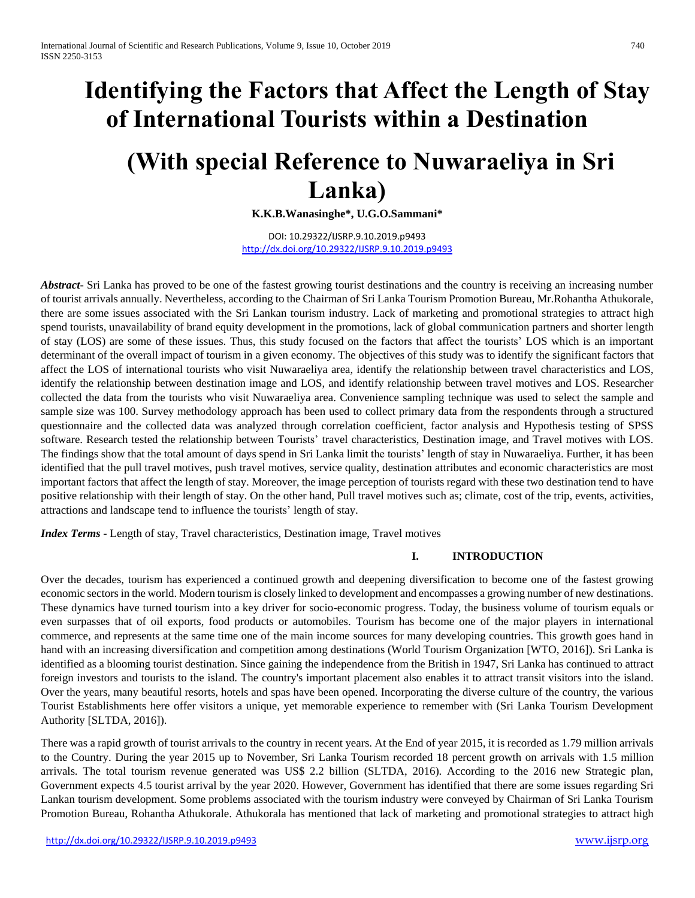# **Identifying the Factors that Affect the Length of Stay of International Tourists within a Destination**

## **(With special Reference to Nuwaraeliya in Sri Lanka)**

**K.K.B.Wanasinghe\*, U.G.O.Sammani\***

DOI: 10.29322/IJSRP.9.10.2019.p9493 <http://dx.doi.org/10.29322/IJSRP.9.10.2019.p9493>

*Abstract* Sri Lanka has proved to be one of the fastest growing tourist destinations and the country is receiving an increasing number of tourist arrivals annually. Nevertheless, according to the Chairman of Sri Lanka Tourism Promotion Bureau, Mr.Rohantha Athukorale, there are some issues associated with the Sri Lankan tourism industry. Lack of marketing and promotional strategies to attract high spend tourists, unavailability of brand equity development in the promotions, lack of global communication partners and shorter length of stay (LOS) are some of these issues. Thus, this study focused on the factors that affect the tourists' LOS which is an important determinant of the overall impact of tourism in a given economy. The objectives of this study was to identify the significant factors that affect the LOS of international tourists who visit Nuwaraeliya area, identify the relationship between travel characteristics and LOS, identify the relationship between destination image and LOS, and identify relationship between travel motives and LOS. Researcher collected the data from the tourists who visit Nuwaraeliya area. Convenience sampling technique was used to select the sample and sample size was 100. Survey methodology approach has been used to collect primary data from the respondents through a structured questionnaire and the collected data was analyzed through correlation coefficient, factor analysis and Hypothesis testing of SPSS software. Research tested the relationship between Tourists' travel characteristics, Destination image, and Travel motives with LOS. The findings show that the total amount of days spend in Sri Lanka limit the tourists' length of stay in Nuwaraeliya. Further, it has been identified that the pull travel motives, push travel motives, service quality, destination attributes and economic characteristics are most important factors that affect the length of stay. Moreover, the image perception of tourists regard with these two destination tend to have positive relationship with their length of stay. On the other hand, Pull travel motives such as; climate, cost of the trip, events, activities, attractions and landscape tend to influence the tourists' length of stay.

*Index Terms* **-** Length of stay, Travel characteristics, Destination image, Travel motives

## **I. INTRODUCTION**

Over the decades, tourism has experienced a continued growth and deepening diversification to become one of the fastest growing economic sectors in the world. Modern tourism is closely linked to development and encompasses a growing number of new destinations. These dynamics have turned tourism into a key driver for socio-economic progress. Today, the business volume of tourism equals or even surpasses that of oil exports, food products or automobiles. Tourism has become one of the major players in international commerce, and represents at the same time one of the main income sources for many developing countries. This growth goes hand in hand with an increasing diversification and competition among destinations (World Tourism Organization [WTO, 2016]). Sri Lanka is identified as a blooming tourist destination. Since gaining the independence from the British in 1947, Sri Lanka has continued to attract foreign investors and tourists to the island. The country's important placement also enables it to attract transit visitors into the island. Over the years, many beautiful resorts, hotels and spas have been opened. Incorporating the diverse culture of the country, the various Tourist Establishments here offer visitors a unique, yet memorable experience to remember with (Sri Lanka Tourism Development Authority [SLTDA, 2016]).

There was a rapid growth of tourist arrivals to the country in recent years. At the End of year 2015, it is recorded as 1.79 million arrivals to the Country. During the year 2015 up to November, Sri Lanka Tourism recorded 18 percent growth on arrivals with 1.5 million arrivals. The total tourism revenue generated was US\$ 2.2 billion (SLTDA, 2016). According to the 2016 new Strategic plan, Government expects 4.5 tourist arrival by the year 2020. However, Government has identified that there are some issues regarding Sri Lankan tourism development. Some problems associated with the tourism industry were conveyed by Chairman of Sri Lanka Tourism Promotion Bureau, Rohantha Athukorale. Athukorala has mentioned that lack of marketing and promotional strategies to attract high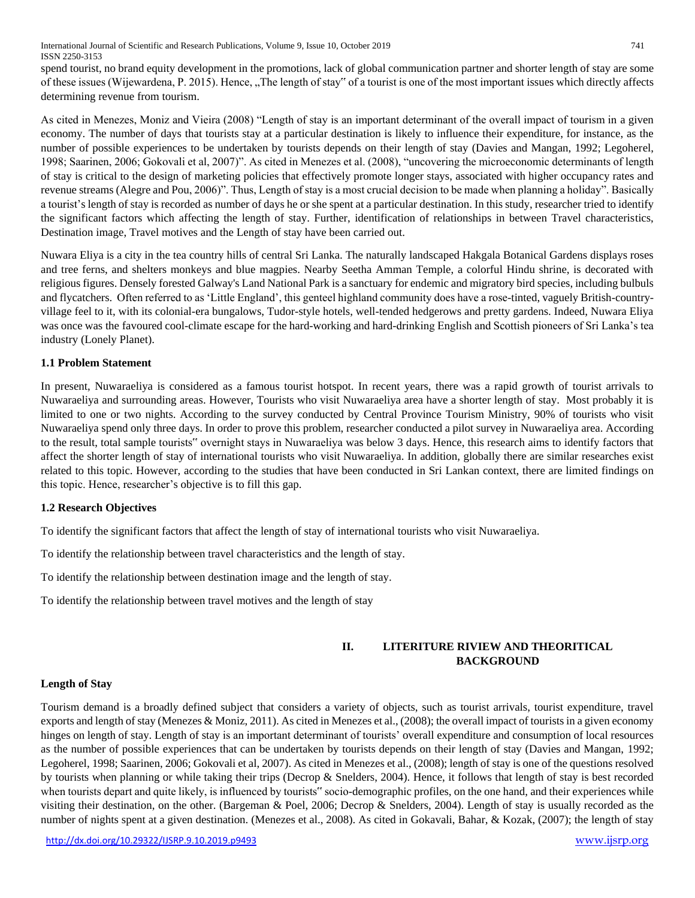International Journal of Scientific and Research Publications, Volume 9, Issue 10, October 2019 741 ISSN 2250-3153

spend tourist, no brand equity development in the promotions, lack of global communication partner and shorter length of stay are some of these issues (Wijewardena, P. 2015). Hence, "The length of stay" of a tourist is one of the most important issues which directly affects determining revenue from tourism.

As cited in Menezes, Moniz and Vieira (2008) "Length of stay is an important determinant of the overall impact of tourism in a given economy. The number of days that tourists stay at a particular destination is likely to influence their expenditure, for instance, as the number of possible experiences to be undertaken by tourists depends on their length of stay (Davies and Mangan, 1992; Legoherel, 1998; Saarinen, 2006; Gokovali et al, 2007)". As cited in Menezes et al. (2008), "uncovering the microeconomic determinants of length of stay is critical to the design of marketing policies that effectively promote longer stays, associated with higher occupancy rates and revenue streams (Alegre and Pou, 2006)". Thus, Length of stay is a most crucial decision to be made when planning a holiday". Basically a tourist's length of stay is recorded as number of days he or she spent at a particular destination. In this study, researcher tried to identify the significant factors which affecting the length of stay. Further, identification of relationships in between Travel characteristics, Destination image, Travel motives and the Length of stay have been carried out.

Nuwara Eliya is a city in the tea country hills of central Sri Lanka. The naturally landscaped Hakgala Botanical Gardens displays roses and tree ferns, and shelters monkeys and blue magpies. Nearby Seetha Amman Temple, a colorful Hindu shrine, is decorated with religious figures. Densely forested Galway's Land National Park is a sanctuary for endemic and migratory bird species, including bulbuls and flycatchers. Often referred to as 'Little England', this genteel highland community does have a rose-tinted, vaguely British-countryvillage feel to it, with its colonial-era bungalows, Tudor-style hotels, well-tended hedgerows and pretty gardens. Indeed, Nuwara Eliya was once was the favoured cool-climate escape for the hard-working and hard-drinking English and Scottish pioneers of Sri Lanka's tea industry (Lonely Planet).

#### **1.1 Problem Statement**

In present, Nuwaraeliya is considered as a famous tourist hotspot. In recent years, there was a rapid growth of tourist arrivals to Nuwaraeliya and surrounding areas. However, Tourists who visit Nuwaraeliya area have a shorter length of stay. Most probably it is limited to one or two nights. According to the survey conducted by Central Province Tourism Ministry, 90% of tourists who visit Nuwaraeliya spend only three days. In order to prove this problem, researcher conducted a pilot survey in Nuwaraeliya area. According to the result, total sample tourists" overnight stays in Nuwaraeliya was below 3 days. Hence, this research aims to identify factors that affect the shorter length of stay of international tourists who visit Nuwaraeliya. In addition, globally there are similar researches exist related to this topic. However, according to the studies that have been conducted in Sri Lankan context, there are limited findings on this topic. Hence, researcher's objective is to fill this gap.

## **1.2 Research Objectives**

To identify the significant factors that affect the length of stay of international tourists who visit Nuwaraeliya.

- To identify the relationship between travel characteristics and the length of stay.
- To identify the relationship between destination image and the length of stay.
- To identify the relationship between travel motives and the length of stay

## **II. LITERITURE RIVIEW AND THEORITICAL BACKGROUND**

#### **Length of Stay**

Tourism demand is a broadly defined subject that considers a variety of objects, such as tourist arrivals, tourist expenditure, travel exports and length of stay (Menezes & Moniz, 2011). As cited in Menezes et al., (2008); the overall impact of tourists in a given economy hinges on length of stay. Length of stay is an important determinant of tourists' overall expenditure and consumption of local resources as the number of possible experiences that can be undertaken by tourists depends on their length of stay (Davies and Mangan, 1992; Legoherel, 1998; Saarinen, 2006; Gokovali et al, 2007). As cited in Menezes et al., (2008); length of stay is one of the questions resolved by tourists when planning or while taking their trips (Decrop & Snelders, 2004). Hence, it follows that length of stay is best recorded when tourists depart and quite likely, is influenced by tourists" socio-demographic profiles, on the one hand, and their experiences while visiting their destination, on the other. (Bargeman & Poel, 2006; Decrop & Snelders, 2004). Length of stay is usually recorded as the number of nights spent at a given destination. (Menezes et al., 2008). As cited in Gokavali, Bahar, & Kozak, (2007); the length of stay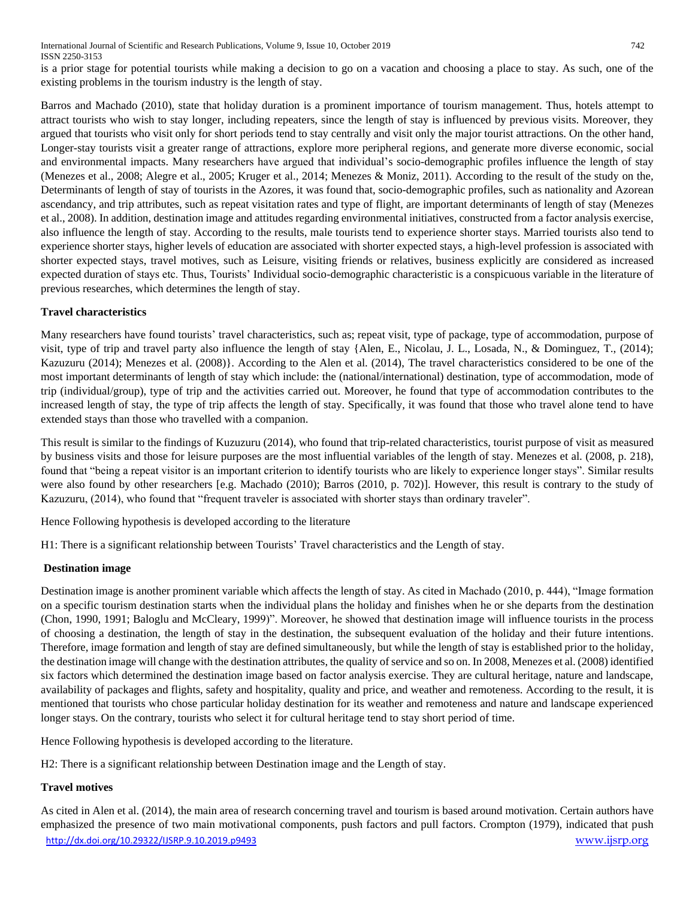is a prior stage for potential tourists while making a decision to go on a vacation and choosing a place to stay. As such, one of the existing problems in the tourism industry is the length of stay.

Barros and Machado (2010), state that holiday duration is a prominent importance of tourism management. Thus, hotels attempt to attract tourists who wish to stay longer, including repeaters, since the length of stay is influenced by previous visits. Moreover, they argued that tourists who visit only for short periods tend to stay centrally and visit only the major tourist attractions. On the other hand, Longer-stay tourists visit a greater range of attractions, explore more peripheral regions, and generate more diverse economic, social and environmental impacts. Many researchers have argued that individual's socio-demographic profiles influence the length of stay (Menezes et al., 2008; Alegre et al., 2005; Kruger et al., 2014; Menezes & Moniz, 2011). According to the result of the study on the, Determinants of length of stay of tourists in the Azores, it was found that, socio-demographic profiles, such as nationality and Azorean ascendancy, and trip attributes, such as repeat visitation rates and type of flight, are important determinants of length of stay (Menezes et al., 2008). In addition, destination image and attitudes regarding environmental initiatives, constructed from a factor analysis exercise, also influence the length of stay. According to the results, male tourists tend to experience shorter stays. Married tourists also tend to experience shorter stays, higher levels of education are associated with shorter expected stays, a high-level profession is associated with shorter expected stays, travel motives, such as Leisure, visiting friends or relatives, business explicitly are considered as increased expected duration of stays etc. Thus, Tourists' Individual socio-demographic characteristic is a conspicuous variable in the literature of previous researches, which determines the length of stay.

## **Travel characteristics**

Many researchers have found tourists' travel characteristics, such as; repeat visit, type of package, type of accommodation, purpose of visit, type of trip and travel party also influence the length of stay {Alen, E., Nicolau, J. L., Losada, N., & Dominguez, T., (2014); Kazuzuru (2014); Menezes et al. (2008)}. According to the Alen et al. (2014), The travel characteristics considered to be one of the most important determinants of length of stay which include: the (national/international) destination, type of accommodation, mode of trip (individual/group), type of trip and the activities carried out. Moreover, he found that type of accommodation contributes to the increased length of stay, the type of trip affects the length of stay. Specifically, it was found that those who travel alone tend to have extended stays than those who travelled with a companion.

This result is similar to the findings of Kuzuzuru (2014), who found that trip-related characteristics, tourist purpose of visit as measured by business visits and those for leisure purposes are the most influential variables of the length of stay. Menezes et al. (2008, p. 218), found that "being a repeat visitor is an important criterion to identify tourists who are likely to experience longer stays". Similar results were also found by other researchers [e.g. Machado (2010); Barros (2010, p. 702)]. However, this result is contrary to the study of Kazuzuru, (2014), who found that "frequent traveler is associated with shorter stays than ordinary traveler".

Hence Following hypothesis is developed according to the literature

H1: There is a significant relationship between Tourists' Travel characteristics and the Length of stay.

## **Destination image**

Destination image is another prominent variable which affects the length of stay. As cited in Machado (2010, p. 444), "Image formation on a specific tourism destination starts when the individual plans the holiday and finishes when he or she departs from the destination (Chon, 1990, 1991; Baloglu and McCleary, 1999)". Moreover, he showed that destination image will influence tourists in the process of choosing a destination, the length of stay in the destination, the subsequent evaluation of the holiday and their future intentions. Therefore, image formation and length of stay are defined simultaneously, but while the length of stay is established prior to the holiday, the destination image will change with the destination attributes, the quality of service and so on. In 2008, Menezes et al. (2008) identified six factors which determined the destination image based on factor analysis exercise. They are cultural heritage, nature and landscape, availability of packages and flights, safety and hospitality, quality and price, and weather and remoteness. According to the result, it is mentioned that tourists who chose particular holiday destination for its weather and remoteness and nature and landscape experienced longer stays. On the contrary, tourists who select it for cultural heritage tend to stay short period of time.

Hence Following hypothesis is developed according to the literature.

H2: There is a significant relationship between Destination image and the Length of stay.

## **Travel motives**

<http://dx.doi.org/10.29322/IJSRP.9.10.2019.p9493> [www.ijsrp.org](http://ijsrp.org/) As cited in Alen et al. (2014), the main area of research concerning travel and tourism is based around motivation. Certain authors have emphasized the presence of two main motivational components, push factors and pull factors. Crompton (1979), indicated that push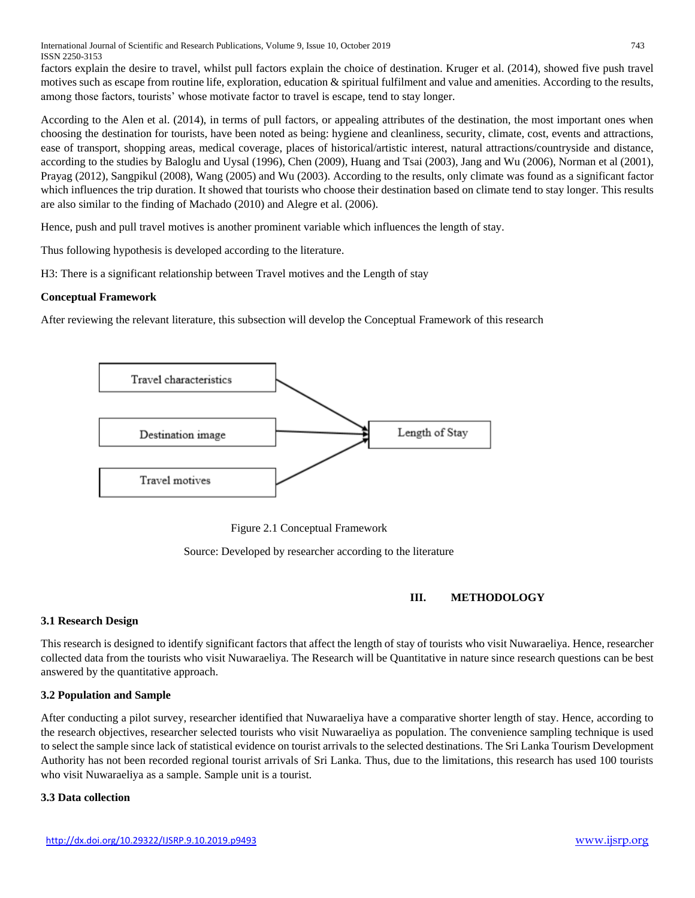International Journal of Scientific and Research Publications, Volume 9, Issue 10, October 2019 743 ISSN 2250-3153

factors explain the desire to travel, whilst pull factors explain the choice of destination. Kruger et al. (2014), showed five push travel motives such as escape from routine life, exploration, education & spiritual fulfilment and value and amenities. According to the results, among those factors, tourists' whose motivate factor to travel is escape, tend to stay longer.

According to the Alen et al. (2014), in terms of pull factors, or appealing attributes of the destination, the most important ones when choosing the destination for tourists, have been noted as being: hygiene and cleanliness, security, climate, cost, events and attractions, ease of transport, shopping areas, medical coverage, places of historical/artistic interest, natural attractions/countryside and distance, according to the studies by Baloglu and Uysal (1996), Chen (2009), Huang and Tsai (2003), Jang and Wu (2006), Norman et al (2001), Prayag (2012), Sangpikul (2008), Wang (2005) and Wu (2003). According to the results, only climate was found as a significant factor which influences the trip duration. It showed that tourists who choose their destination based on climate tend to stay longer. This results are also similar to the finding of Machado (2010) and Alegre et al. (2006).

Hence, push and pull travel motives is another prominent variable which influences the length of stay.

Thus following hypothesis is developed according to the literature.

H3: There is a significant relationship between Travel motives and the Length of stay

#### **Conceptual Framework**

After reviewing the relevant literature, this subsection will develop the Conceptual Framework of this research



Figure 2.1 Conceptual Framework

Source: Developed by researcher according to the literature

## **III. METHODOLOGY**

## **3.1 Research Design**

This research is designed to identify significant factors that affect the length of stay of tourists who visit Nuwaraeliya. Hence, researcher collected data from the tourists who visit Nuwaraeliya. The Research will be Quantitative in nature since research questions can be best answered by the quantitative approach.

## **3.2 Population and Sample**

After conducting a pilot survey, researcher identified that Nuwaraeliya have a comparative shorter length of stay. Hence, according to the research objectives, researcher selected tourists who visit Nuwaraeliya as population. The convenience sampling technique is used to select the sample since lack of statistical evidence on tourist arrivals to the selected destinations. The Sri Lanka Tourism Development Authority has not been recorded regional tourist arrivals of Sri Lanka. Thus, due to the limitations, this research has used 100 tourists who visit Nuwaraeliya as a sample. Sample unit is a tourist.

#### **3.3 Data collection**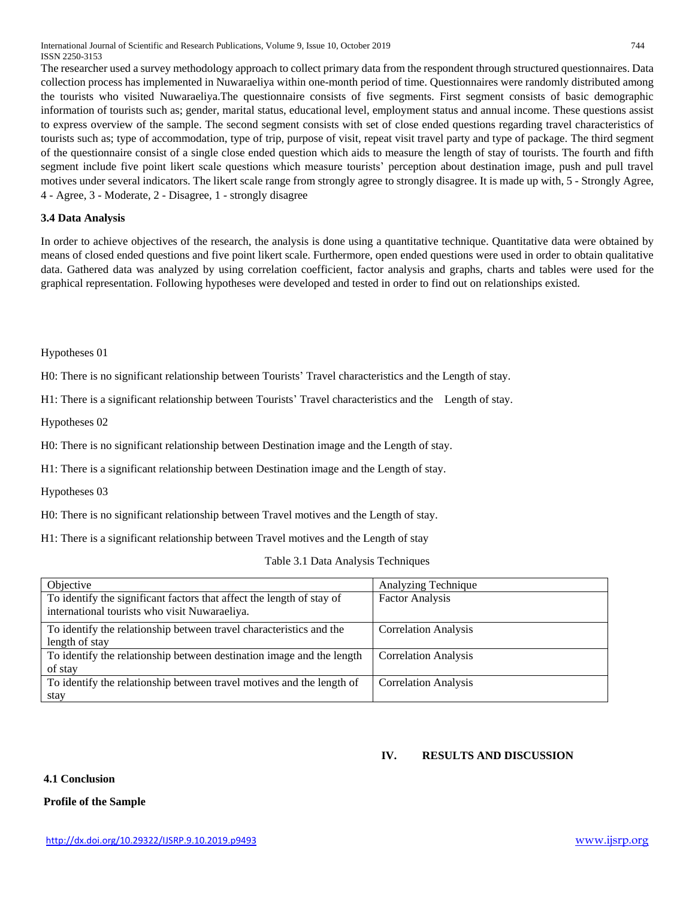International Journal of Scientific and Research Publications, Volume 9, Issue 10, October 2019 744 ISSN 2250-3153

The researcher used a survey methodology approach to collect primary data from the respondent through structured questionnaires. Data collection process has implemented in Nuwaraeliya within one-month period of time. Questionnaires were randomly distributed among the tourists who visited Nuwaraeliya.The questionnaire consists of five segments. First segment consists of basic demographic information of tourists such as; gender, marital status, educational level, employment status and annual income. These questions assist to express overview of the sample. The second segment consists with set of close ended questions regarding travel characteristics of tourists such as; type of accommodation, type of trip, purpose of visit, repeat visit travel party and type of package. The third segment of the questionnaire consist of a single close ended question which aids to measure the length of stay of tourists. The fourth and fifth segment include five point likert scale questions which measure tourists' perception about destination image, push and pull travel motives under several indicators. The likert scale range from strongly agree to strongly disagree. It is made up with, 5 - Strongly Agree, 4 - Agree, 3 - Moderate, 2 - Disagree, 1 - strongly disagree

#### **3.4 Data Analysis**

In order to achieve objectives of the research, the analysis is done using a quantitative technique. Quantitative data were obtained by means of closed ended questions and five point likert scale. Furthermore, open ended questions were used in order to obtain qualitative data. Gathered data was analyzed by using correlation coefficient, factor analysis and graphs, charts and tables were used for the graphical representation. Following hypotheses were developed and tested in order to find out on relationships existed.

Hypotheses 01

H0: There is no significant relationship between Tourists' Travel characteristics and the Length of stay.

H1: There is a significant relationship between Tourists' Travel characteristics and the Length of stay.

Hypotheses 02

H0: There is no significant relationship between Destination image and the Length of stay.

H1: There is a significant relationship between Destination image and the Length of stay.

Hypotheses 03

H0: There is no significant relationship between Travel motives and the Length of stay.

H1: There is a significant relationship between Travel motives and the Length of stay

Table 3.1 Data Analysis Techniques

| Objective                                                                                                              | Analyzing Technique         |
|------------------------------------------------------------------------------------------------------------------------|-----------------------------|
| To identify the significant factors that affect the length of stay of<br>international tourists who visit Nuwaraeliya. | <b>Factor Analysis</b>      |
| To identify the relationship between travel characteristics and the<br>length of stay                                  | <b>Correlation Analysis</b> |
| To identify the relationship between destination image and the length<br>of stay                                       | <b>Correlation Analysis</b> |
| To identify the relationship between travel motives and the length of<br>stay                                          | <b>Correlation Analysis</b> |

#### **IV. RESULTS AND DISCUSSION**

**4.1 Conclusion**

**Profile of the Sample**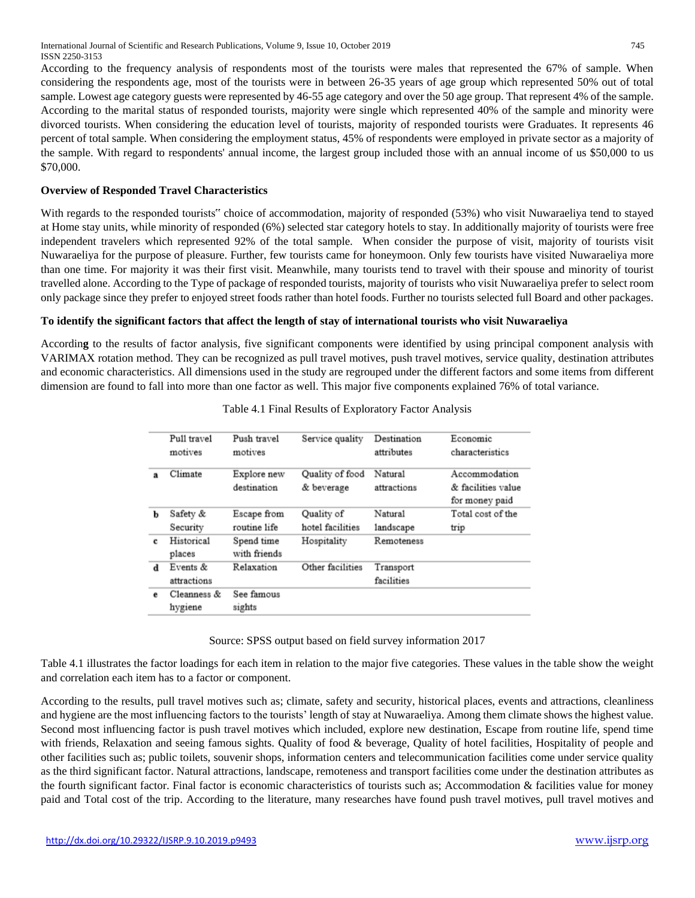According to the frequency analysis of respondents most of the tourists were males that represented the 67% of sample. When considering the respondents age, most of the tourists were in between 26-35 years of age group which represented 50% out of total sample. Lowest age category guests were represented by 46-55 age category and over the 50 age group. That represent 4% of the sample. According to the marital status of responded tourists, majority were single which represented 40% of the sample and minority were divorced tourists. When considering the education level of tourists, majority of responded tourists were Graduates. It represents 46 percent of total sample. When considering the employment status, 45% of respondents were employed in private sector as a majority of the sample. With regard to respondents' annual income, the largest group included those with an annual income of us \$50,000 to us \$70,000.

## **Overview of Responded Travel Characteristics**

With regards to the responded tourists" choice of accommodation, majority of responded (53%) who visit Nuwaraeliya tend to stayed at Home stay units, while minority of responded (6%) selected star category hotels to stay. In additionally majority of tourists were free independent travelers which represented 92% of the total sample. When consider the purpose of visit, majority of tourists visit Nuwaraeliya for the purpose of pleasure. Further, few tourists came for honeymoon. Only few tourists have visited Nuwaraeliya more than one time. For majority it was their first visit. Meanwhile, many tourists tend to travel with their spouse and minority of tourist travelled alone. According to the Type of package of responded tourists, majority of tourists who visit Nuwaraeliya prefer to select room only package since they prefer to enjoyed street foods rather than hotel foods. Further no tourists selected full Board and other packages.

## **To identify the significant factors that affect the length of stay of international tourists who visit Nuwaraeliya**

Accordin**g** to the results of factor analysis, five significant components were identified by using principal component analysis with VARIMAX rotation method. They can be recognized as pull travel motives, push travel motives, service quality, destination attributes and economic characteristics. All dimensions used in the study are regrouped under the different factors and some items from different dimension are found to fall into more than one factor as well. This major five components explained 76% of total variance.

|              | Pull travel<br>motives  | Push travel<br>motives      | Service quality                | Destination<br>attributes | Economic<br>characteristics                           |
|--------------|-------------------------|-----------------------------|--------------------------------|---------------------------|-------------------------------------------------------|
| $\mathbf{a}$ | Climate                 | Explore new<br>destination  | Quality of food<br>& beverage  | Natural<br>attractions    | Accommodation<br>& facilities value<br>for money paid |
| ь            | Safety &<br>Security    | Escape from<br>routine life | Quality of<br>hotel facilities | Natural<br>landscape      | Total cost of the<br>trip                             |
| с            | Historical<br>places    | Spend time<br>with friends  | Hospitality                    | Remoteness                |                                                       |
| d            | Events &<br>attractions | Relaxation                  | Other facilities               | Transport<br>facilities   |                                                       |
| e            | Cleanness &<br>hygiene  | See famous<br>sights        |                                |                           |                                                       |

| Table 4.1 Final Results of Exploratory Factor Analysis |  |  |  |
|--------------------------------------------------------|--|--|--|
|                                                        |  |  |  |

#### Source: SPSS output based on field survey information 2017

Table 4.1 illustrates the factor loadings for each item in relation to the major five categories. These values in the table show the weight and correlation each item has to a factor or component.

According to the results, pull travel motives such as; climate, safety and security, historical places, events and attractions, cleanliness and hygiene are the most influencing factors to the tourists' length of stay at Nuwaraeliya. Among them climate shows the highest value. Second most influencing factor is push travel motives which included, explore new destination, Escape from routine life, spend time with friends, Relaxation and seeing famous sights. Quality of food & beverage, Quality of hotel facilities, Hospitality of people and other facilities such as; public toilets, souvenir shops, information centers and telecommunication facilities come under service quality as the third significant factor. Natural attractions, landscape, remoteness and transport facilities come under the destination attributes as the fourth significant factor. Final factor is economic characteristics of tourists such as; Accommodation & facilities value for money paid and Total cost of the trip. According to the literature, many researches have found push travel motives, pull travel motives and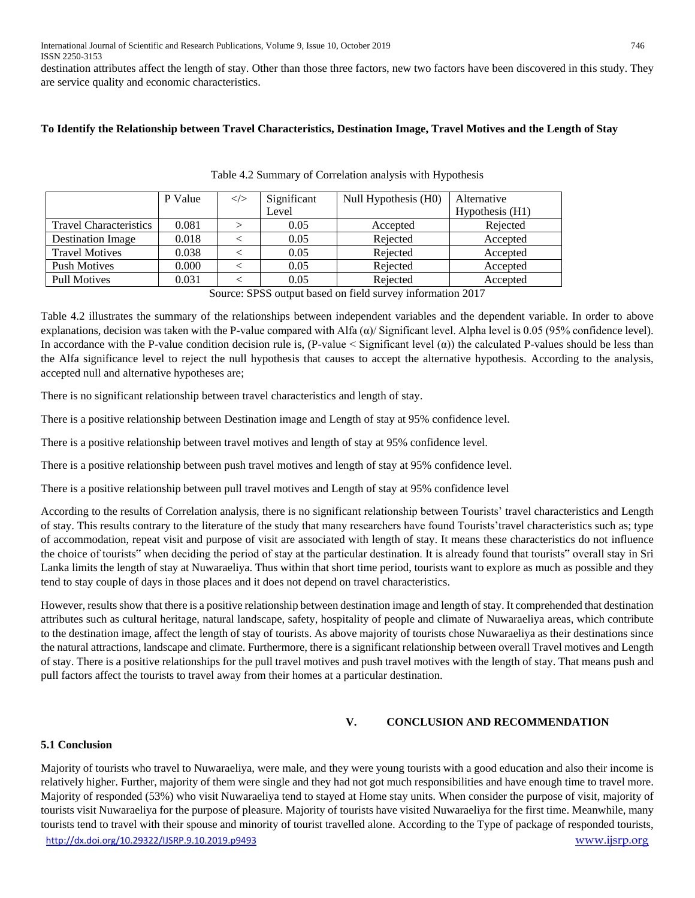destination attributes affect the length of stay. Other than those three factors, new two factors have been discovered in this study. They are service quality and economic characteristics.

#### **To Identify the Relationship between Travel Characteristics, Destination Image, Travel Motives and the Length of Stay**

|                               | P Value | $\ll$ | Significant | Null Hypothesis (H0) | Alternative     |
|-------------------------------|---------|-------|-------------|----------------------|-----------------|
|                               |         |       | Level       |                      | Hypothesis (H1) |
| <b>Travel Characteristics</b> | 0.081   |       | 0.05        | Accepted             | Rejected        |
| <b>Destination Image</b>      | 0.018   |       | 0.05        | Rejected             | Accepted        |
| <b>Travel Motives</b>         | 0.038   |       | 0.05        | Rejected             | Accepted        |
| <b>Push Motives</b>           | 0.000   |       | 0.05        | Rejected             | Accepted        |
| <b>Pull Motives</b>           | 0.031   |       | 0.05        | Rejected             | Accepted        |

Table 4.2 Summary of Correlation analysis with Hypothesis

Source: SPSS output based on field survey information 2017

Table 4.2 illustrates the summary of the relationships between independent variables and the dependent variable. In order to above explanations, decision was taken with the P-value compared with Alfa  $(\alpha)$  Significant level. Alpha level is 0.05 (95% confidence level). In accordance with the P-value condition decision rule is,  $(P-value <$  Significant level  $(\alpha)$ ) the calculated P-values should be less than the Alfa significance level to reject the null hypothesis that causes to accept the alternative hypothesis. According to the analysis, accepted null and alternative hypotheses are;

There is no significant relationship between travel characteristics and length of stay.

There is a positive relationship between Destination image and Length of stay at 95% confidence level.

There is a positive relationship between travel motives and length of stay at 95% confidence level.

There is a positive relationship between push travel motives and length of stay at 95% confidence level.

There is a positive relationship between pull travel motives and Length of stay at 95% confidence level

According to the results of Correlation analysis, there is no significant relationship between Tourists' travel characteristics and Length of stay. This results contrary to the literature of the study that many researchers have found Tourists'travel characteristics such as; type of accommodation, repeat visit and purpose of visit are associated with length of stay. It means these characteristics do not influence the choice of tourists" when deciding the period of stay at the particular destination. It is already found that tourists" overall stay in Sri Lanka limits the length of stay at Nuwaraeliya. Thus within that short time period, tourists want to explore as much as possible and they tend to stay couple of days in those places and it does not depend on travel characteristics.

However, results show that there is a positive relationship between destination image and length of stay. It comprehended that destination attributes such as cultural heritage, natural landscape, safety, hospitality of people and climate of Nuwaraeliya areas, which contribute to the destination image, affect the length of stay of tourists. As above majority of tourists chose Nuwaraeliya as their destinations since the natural attractions, landscape and climate. Furthermore, there is a significant relationship between overall Travel motives and Length of stay. There is a positive relationships for the pull travel motives and push travel motives with the length of stay. That means push and pull factors affect the tourists to travel away from their homes at a particular destination.

## **V. CONCLUSION AND RECOMMENDATION**

## **5.1 Conclusion**

<http://dx.doi.org/10.29322/IJSRP.9.10.2019.p9493> [www.ijsrp.org](http://ijsrp.org/) Majority of tourists who travel to Nuwaraeliya, were male, and they were young tourists with a good education and also their income is relatively higher. Further, majority of them were single and they had not got much responsibilities and have enough time to travel more. Majority of responded (53%) who visit Nuwaraeliya tend to stayed at Home stay units. When consider the purpose of visit, majority of tourists visit Nuwaraeliya for the purpose of pleasure. Majority of tourists have visited Nuwaraeliya for the first time. Meanwhile, many tourists tend to travel with their spouse and minority of tourist travelled alone. According to the Type of package of responded tourists,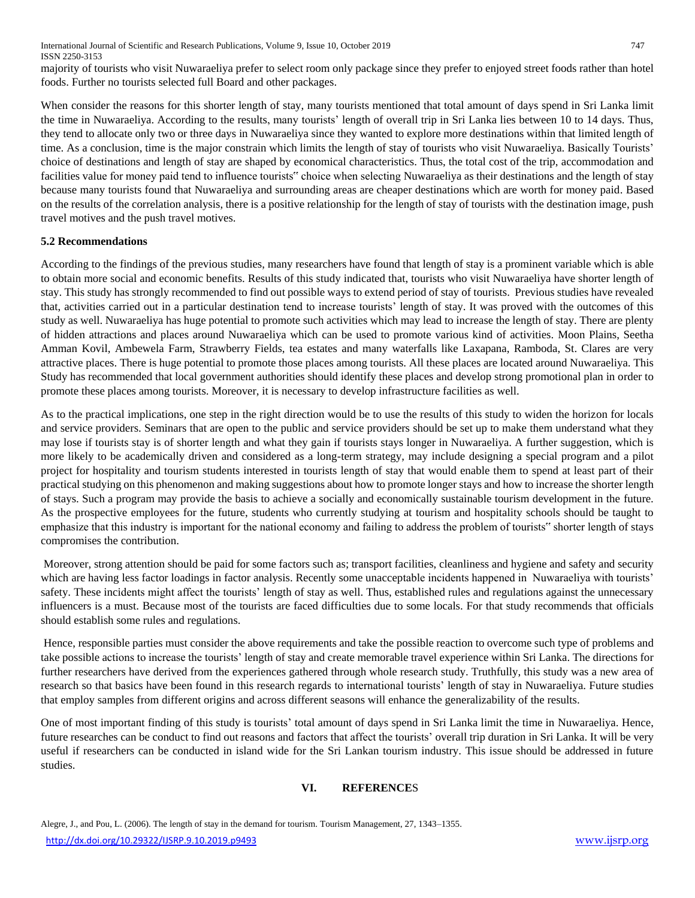International Journal of Scientific and Research Publications, Volume 9, Issue 10, October 2019 747 ISSN 2250-3153

majority of tourists who visit Nuwaraeliya prefer to select room only package since they prefer to enjoyed street foods rather than hotel foods. Further no tourists selected full Board and other packages.

When consider the reasons for this shorter length of stay, many tourists mentioned that total amount of days spend in Sri Lanka limit the time in Nuwaraeliya. According to the results, many tourists' length of overall trip in Sri Lanka lies between 10 to 14 days. Thus, they tend to allocate only two or three days in Nuwaraeliya since they wanted to explore more destinations within that limited length of time. As a conclusion, time is the major constrain which limits the length of stay of tourists who visit Nuwaraeliya. Basically Tourists' choice of destinations and length of stay are shaped by economical characteristics. Thus, the total cost of the trip, accommodation and facilities value for money paid tend to influence tourists" choice when selecting Nuwaraeliya as their destinations and the length of stay because many tourists found that Nuwaraeliya and surrounding areas are cheaper destinations which are worth for money paid. Based on the results of the correlation analysis, there is a positive relationship for the length of stay of tourists with the destination image, push travel motives and the push travel motives.

#### **5.2 Recommendations**

According to the findings of the previous studies, many researchers have found that length of stay is a prominent variable which is able to obtain more social and economic benefits. Results of this study indicated that, tourists who visit Nuwaraeliya have shorter length of stay. This study has strongly recommended to find out possible ways to extend period of stay of tourists. Previous studies have revealed that, activities carried out in a particular destination tend to increase tourists' length of stay. It was proved with the outcomes of this study as well. Nuwaraeliya has huge potential to promote such activities which may lead to increase the length of stay. There are plenty of hidden attractions and places around Nuwaraeliya which can be used to promote various kind of activities. Moon Plains, Seetha Amman Kovil, Ambewela Farm, Strawberry Fields, tea estates and many waterfalls like Laxapana, Ramboda, St. Clares are very attractive places. There is huge potential to promote those places among tourists. All these places are located around Nuwaraeliya. This Study has recommended that local government authorities should identify these places and develop strong promotional plan in order to promote these places among tourists. Moreover, it is necessary to develop infrastructure facilities as well.

As to the practical implications, one step in the right direction would be to use the results of this study to widen the horizon for locals and service providers. Seminars that are open to the public and service providers should be set up to make them understand what they may lose if tourists stay is of shorter length and what they gain if tourists stays longer in Nuwaraeliya. A further suggestion, which is more likely to be academically driven and considered as a long-term strategy, may include designing a special program and a pilot project for hospitality and tourism students interested in tourists length of stay that would enable them to spend at least part of their practical studying on this phenomenon and making suggestions about how to promote longer stays and how to increase the shorter length of stays. Such a program may provide the basis to achieve a socially and economically sustainable tourism development in the future. As the prospective employees for the future, students who currently studying at tourism and hospitality schools should be taught to emphasize that this industry is important for the national economy and failing to address the problem of tourists" shorter length of stays compromises the contribution.

Moreover, strong attention should be paid for some factors such as; transport facilities, cleanliness and hygiene and safety and security which are having less factor loadings in factor analysis. Recently some unacceptable incidents happened in Nuwaraeliya with tourists' safety. These incidents might affect the tourists' length of stay as well. Thus, established rules and regulations against the unnecessary influencers is a must. Because most of the tourists are faced difficulties due to some locals. For that study recommends that officials should establish some rules and regulations.

Hence, responsible parties must consider the above requirements and take the possible reaction to overcome such type of problems and take possible actions to increase the tourists' length of stay and create memorable travel experience within Sri Lanka. The directions for further researchers have derived from the experiences gathered through whole research study. Truthfully, this study was a new area of research so that basics have been found in this research regards to international tourists' length of stay in Nuwaraeliya. Future studies that employ samples from different origins and across different seasons will enhance the generalizability of the results.

One of most important finding of this study is tourists' total amount of days spend in Sri Lanka limit the time in Nuwaraeliya. Hence, future researches can be conduct to find out reasons and factors that affect the tourists' overall trip duration in Sri Lanka. It will be very useful if researchers can be conducted in island wide for the Sri Lankan tourism industry. This issue should be addressed in future studies.

## **VI. REFERENCE**S

Alegre, J., and Pou, L. (2006). The length of stay in the demand for tourism. Tourism Management, 27, 1343–1355.